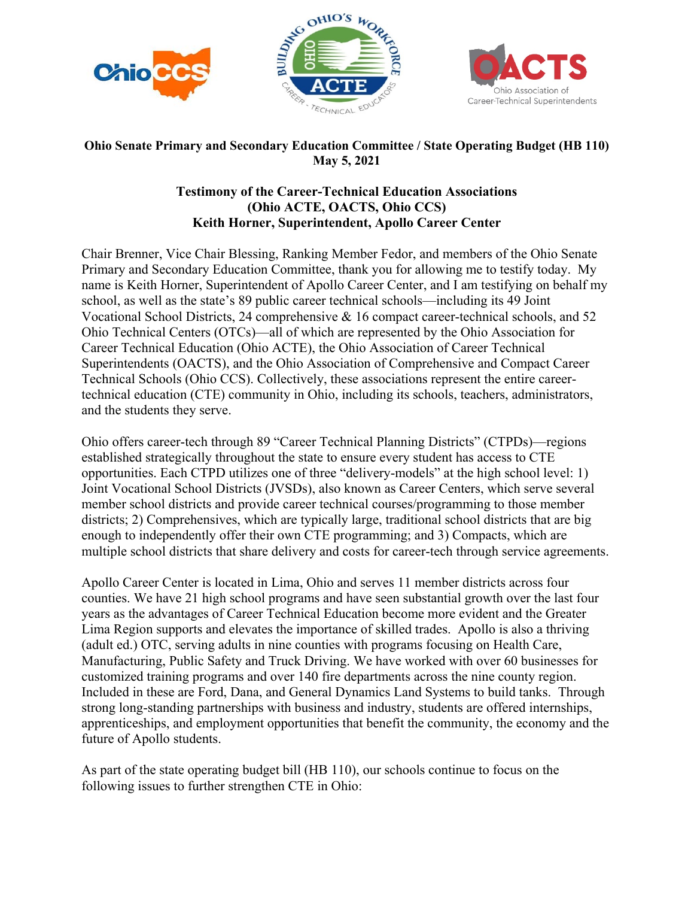



## **Ohio Senate Primary and Secondary Education Committee / State Operating Budget (HB 110) May 5, 2021**

## **Testimony of the Career-Technical Education Associations (Ohio ACTE, OACTS, Ohio CCS) Keith Horner, Superintendent, Apollo Career Center**

Chair Brenner, Vice Chair Blessing, Ranking Member Fedor, and members of the Ohio Senate Primary and Secondary Education Committee, thank you for allowing me to testify today. My name is Keith Horner, Superintendent of Apollo Career Center, and I am testifying on behalf my school, as well as the state's 89 public career technical schools—including its 49 Joint Vocational School Districts, 24 comprehensive & 16 compact career-technical schools, and 52 Ohio Technical Centers (OTCs)—all of which are represented by the Ohio Association for Career Technical Education (Ohio ACTE), the Ohio Association of Career Technical Superintendents (OACTS), and the Ohio Association of Comprehensive and Compact Career Technical Schools (Ohio CCS). Collectively, these associations represent the entire careertechnical education (CTE) community in Ohio, including its schools, teachers, administrators, and the students they serve.

Ohio offers career-tech through 89 "Career Technical Planning Districts" (CTPDs)—regions established strategically throughout the state to ensure every student has access to CTE opportunities. Each CTPD utilizes one of three "delivery-models" at the high school level: 1) Joint Vocational School Districts (JVSDs), also known as Career Centers, which serve several member school districts and provide career technical courses/programming to those member districts; 2) Comprehensives, which are typically large, traditional school districts that are big enough to independently offer their own CTE programming; and 3) Compacts, which are multiple school districts that share delivery and costs for career-tech through service agreements.

Apollo Career Center is located in Lima, Ohio and serves 11 member districts across four counties. We have 21 high school programs and have seen substantial growth over the last four years as the advantages of Career Technical Education become more evident and the Greater Lima Region supports and elevates the importance of skilled trades. Apollo is also a thriving (adult ed.) OTC, serving adults in nine counties with programs focusing on Health Care, Manufacturing, Public Safety and Truck Driving. We have worked with over 60 businesses for customized training programs and over 140 fire departments across the nine county region. Included in these are Ford, Dana, and General Dynamics Land Systems to build tanks. Through strong long-standing partnerships with business and industry, students are offered internships, apprenticeships, and employment opportunities that benefit the community, the economy and the future of Apollo students.

As part of the state operating budget bill (HB 110), our schools continue to focus on the following issues to further strengthen CTE in Ohio: